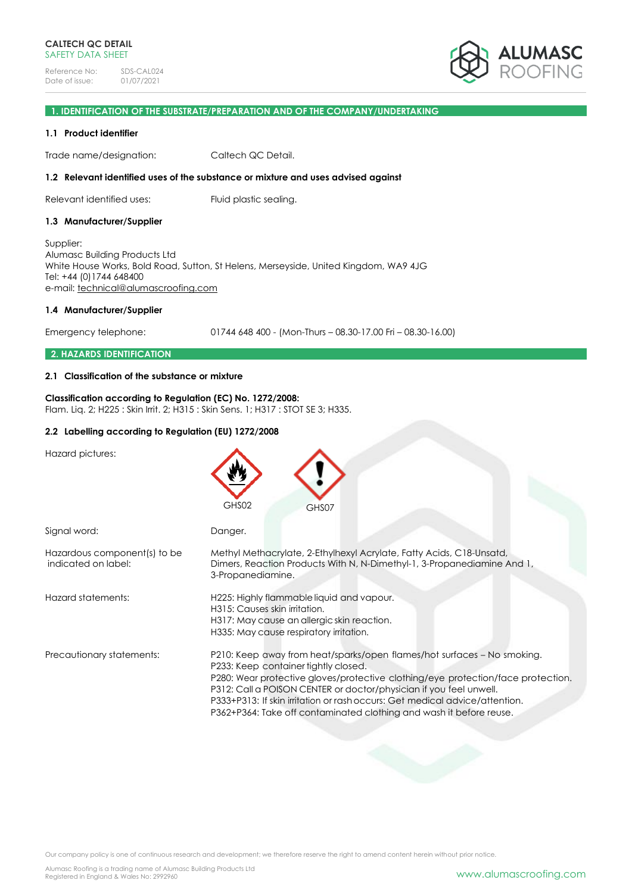

## **1. IDENTIFICATION OF THE SUBSTRATE/PREPARATION AND OF THE COMPANY/UNDERTAKING**

### **1.1 Product identifier**

Trade name/designation: Caltech QC Detail.

### **1.2 Relevant identified uses of the substance or mixture and uses advised against**

Relevant identified uses: Fluid plastic sealing.

#### **1.3 Manufacturer/Supplier**

Supplier: Alumasc Building Products Ltd White House Works, Bold Road, Sutton, St Helens, Merseyside, United Kingdom, WA9 4JG Tel: +44 (0)1744 648400 e-mail: [technical@alumascroofing.com](mailto:technical@alumascroofing.com)

#### **1.4 Manufacturer/Supplier**

Emergency telephone: 01744 648 400 - (Mon-Thurs – 08.30-17.00 Fri – 08.30-16.00)

### **2. HAZARDS IDENTIFICATION**

## **2.1 Classification of the substance or mixture**

### **Classification according to Regulation (EC) No. 1272/2008:** Flam. Liq. 2; H225 : Skin Irrit. 2; H315 : Skin Sens. 1; H317 : STOT SE 3; H335.

### **2.2 Labelling according to Regulation (EU) 1272/2008**

Hazard pictures:

|                                                     | GHS02<br>GHS07                                                                                                                                                                                                                                                                                                                                                                                                                  |
|-----------------------------------------------------|---------------------------------------------------------------------------------------------------------------------------------------------------------------------------------------------------------------------------------------------------------------------------------------------------------------------------------------------------------------------------------------------------------------------------------|
| Signal word:                                        | Danger.                                                                                                                                                                                                                                                                                                                                                                                                                         |
| Hazardous component(s) to be<br>indicated on label: | Methyl Methacrylate, 2-Ethylhexyl Acrylate, Fatty Acids, C18-Unsatd,<br>Dimers, Reaction Products With N, N-Dimethyl-1, 3-Propanediamine And 1,<br>3-Propanediamine.                                                                                                                                                                                                                                                            |
| Hazard statements:                                  | H225: Highly flammable liquid and vapour.<br>H315: Causes skin irritation.<br>H317: May cause an allergic skin reaction.<br>H335: May cause respiratory irritation.                                                                                                                                                                                                                                                             |
| Precautionary statements:                           | P210: Keep away from heat/sparks/open flames/hot surfaces - No smoking.<br>P233: Keep container tightly closed.<br>P280: Wear protective gloves/protective clothing/eye protection/face protection.<br>P312: Call a POISON CENTER or doctor/physician if you feel unwell.<br>P333+P313: If skin irritation or rash occurs: Get medical advice/attention.<br>P362+P364: Take off contaminated clothing and wash it before reuse. |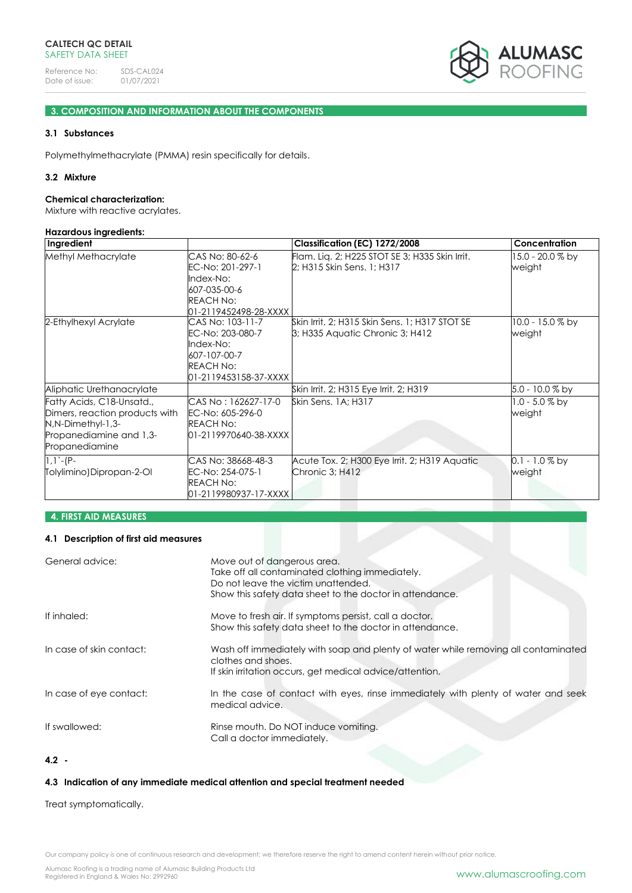

## **3. COMPOSITION AND INFORMATION ABOUT THE COMPONENTS**

## **3.1 Substances**

Polymethylmethacrylate (PMMA) resin specifically for details.

### **3.2 Mixture**

#### **Chemical characterization:**

Mixture with reactive acrylates.

#### **Hazardous ingredients:**

| Ingredient                                                                                                                    |                                                                                                                | Classification (EC) 1272/2008                                                     | Concentration               |
|-------------------------------------------------------------------------------------------------------------------------------|----------------------------------------------------------------------------------------------------------------|-----------------------------------------------------------------------------------|-----------------------------|
| Methyl Methacrylate                                                                                                           | CAS No: 80-62-6<br>EC-No: 201-297-1<br>Index-No:<br>607-035-00-6<br><b>REACH No:</b><br>01-2119452498-28-XXXX  | Flam. Liq. 2; H225 STOT SE 3; H335 Skin Irrit.<br>2; H315 Skin Sens. 1; H317      | 15.0 - 20.0 % by<br>weight  |
| 2-Ethylhexyl Acrylate                                                                                                         | CAS No: 103-11-7<br>EC-No: 203-080-7<br>Index-No:<br>607-107-00-7<br><b>REACH No:</b><br>01-2119453158-37-XXXX | Skin Irrit, 2; H315 Skin Sens, 1; H317 STOT SE<br>3; H335 Aquatic Chronic 3; H412 | 10.0 - 15.0 % by<br>weight  |
| Aliphatic Urethanacrylate                                                                                                     |                                                                                                                | Skin Irrit. 2; H315 Eye Irrit. 2; H319                                            | 5.0 - 10.0 % by             |
| Fatty Acids, C18-Unsatd.,<br>Dimers, reaction products with<br>N,N-Dimethyl-1,3-<br>Propanediamine and 1,3-<br>Propanediamine | CAS No : 162627-17-0<br>EC-No: 605-296-0<br><b>REACH No:</b><br>01-2119970640-38-XXXX                          | Skin Sens. 1A: H317                                                               | $1.0 - 5.0 \%$ by<br>weight |
| $1,1$ -(P-<br>Tolylimino)Dipropan-2-Ol                                                                                        | CAS No: 38668-48-3<br>EC-No: 254-075-1<br><b>REACH No:</b><br>01-2119980937-17-XXXX                            | Acute Tox. 2; H300 Eye Irrit. 2; H319 Aquatic<br>Chronic 3; H412                  | 0.1 - 1.0 % by<br>weight    |

## **4. FIRST AID MEASURES**

## **4.1 Description of first aid measures**

| General advice:          | Move out of dangerous area.<br>Take off all contaminated clothing immediately.<br>Do not leave the victim unattended.<br>Show this safety data sheet to the doctor in attendance. |
|--------------------------|-----------------------------------------------------------------------------------------------------------------------------------------------------------------------------------|
| If inhaled:              | Move to fresh air. If symptoms persist, call a doctor.<br>Show this safety data sheet to the doctor in attendance.                                                                |
| In case of skin contact: | Wash off immediately with soap and plenty of water while removing all contaminated<br>clothes and shoes.<br>If skin irritation occurs, get medical advice/attention.              |
| In case of eye contact:  | In the case of contact with eyes, rinse immediately with plenty of water and seek<br>medical advice.                                                                              |
| If swallowed:            | Rinse mouth. Do NOT induce vomiting.<br>Call a doctor immediately.                                                                                                                |

# **4.2 -**

## **4.3 Indication of any immediate medical attention and special treatment needed**

Treat symptomatically.

Our company policy is one of continuous research and development; we therefore reserve the right to amend content herein without prior notice.

Alumasc Roofing is a trading name of Alumasc Building Products Ltd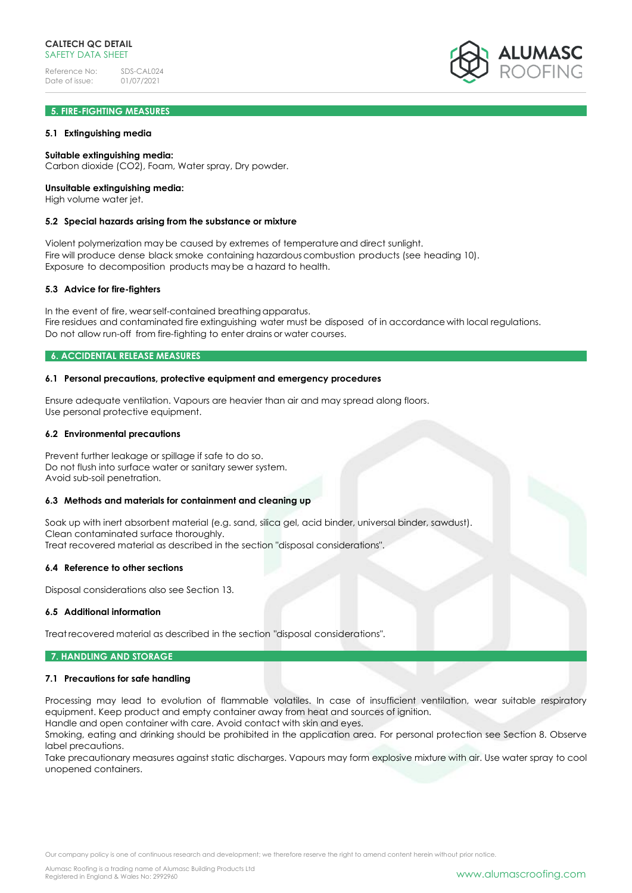## **5. FIRE-FIGHTING MEASURES**

### **5.1 Extinguishing media**

### **Suitable extinguishing media:**

Carbon dioxide (CO2), Foam, Water spray, Dry powder.

### **Unsuitable extinguishing media:**

High volume water jet.

### **5.2 Special hazards arising from the substance or mixture**

Violent polymerization may be caused by extremes of temperatureand direct sunlight. Fire will produce dense black smoke containing hazardous combustion products (see heading 10). Exposure to decomposition products may be a hazard to health.

#### **5.3 Advice for fire-fighters**

In the event of fire, wearself-contained breathing apparatus. Fire residues and contaminated fire extinguishing water must be disposed of in accordance with local regulations. Do not allow run-off from fire-fighting to enter drains or water courses.

### **6. ACCIDENTAL RELEASE MEASURES**

### **6.1 Personal precautions, protective equipment and emergency procedures**

Ensure adequate ventilation. Vapours are heavier than air and may spread along floors. Use personal protective equipment.

#### **6.2 Environmental precautions**

Prevent further leakage or spillage if safe to do so. Do not flush into surface water or sanitary sewer system. Avoid sub-soil penetration.

### **6.3 Methods and materials for containment and cleaning up**

Soak up with inert absorbent material (e.g. sand, silica gel, acid binder, universal binder, sawdust). Clean contaminated surface thoroughly. Treat recovered material as described in the section "disposal considerations".

#### **6.4 Reference to other sections**

Disposal considerations also see Section 13.

### **6.5 Additional information**

Treat recovered material as described in the section "disposal considerations".

### **7. HANDLING AND STORAGE**

#### **7.1 Precautions for safe handling**

Processing may lead to evolution of flammable volatiles. In case of insufficient ventilation, wear suitable respiratory equipment. Keep product and empty container away from heat and sources of ignition. Handle and open container with care. Avoid contact with skin and eyes.

Smoking, eating and drinking should be prohibited in the application area. For personal protection see Section 8. Observe label precautions.

Take precautionary measures against static discharges. Vapours may form explosive mixture with air. Use water spray to cool unopened containers.

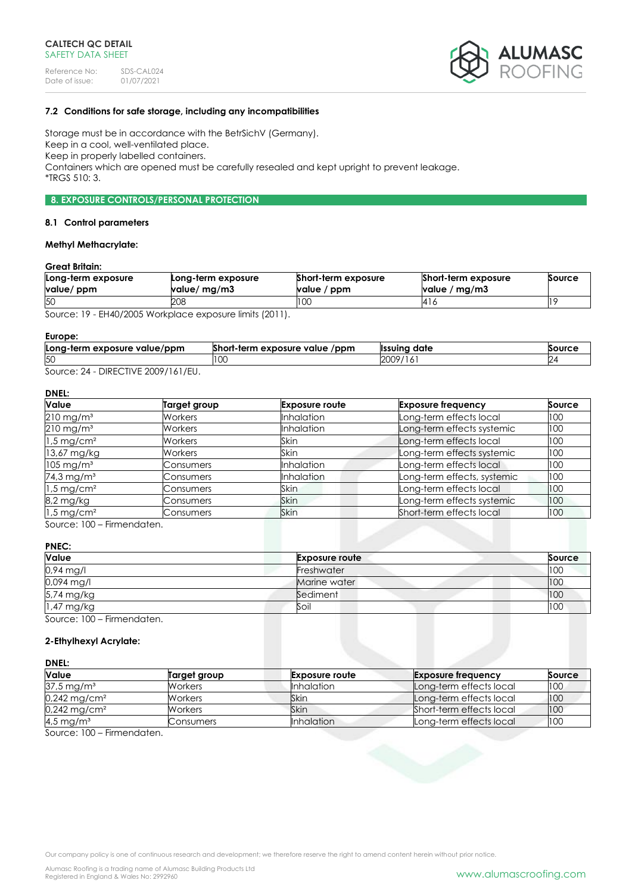

## **7.2 Conditions for safe storage, including any incompatibilities**

Storage must be in accordance with the BetrSichV (Germany). Keep in a cool, well-ventilated place. Keep in properly labelled containers. Containers which are opened must be carefully resealed and kept upright to prevent leakage. \*TRGS 510: 3.

## **8. EXPOSURE CONTROLS/PERSONAL PROTECTION**

#### **8.1 Control parameters**

## **Methyl Methacrylate:**

## **Great Britain:**

| Long-term exposure<br>value/ ppm | Long-term exposure<br>value/ mg/m3 | Short-term exposure<br>value / ppm | Short-term exposure<br>value / $mg/m3$ | Source |
|----------------------------------|------------------------------------|------------------------------------|----------------------------------------|--------|
| 50                               | 208                                | 100                                | 14 I G                                 |        |
| $\sim$                           | $1!$ $1!$ $1!$ $1!$ $1!$ $1!$ $1!$ |                                    |                                        |        |

Source: 19 - EH40/2005 Workplace exposure limits (2011).

#### **Europe:**

| Long-term exposure value/ppm | Short-term exposure value<br>/ppm | <sup>.</sup> date<br><b>Ilssuina</b> | Source |
|------------------------------|-----------------------------------|--------------------------------------|--------|
| 50                           | LU.                               | 2009<br>19/<br>.                     |        |
| DIDFOTIVIF                   |                                   |                                      |        |

Source: 24 - DIRECTIVE 2009/161/EU.

# **DNEL:**

| <b>Value</b>             | Target group   | <b>Exposure route</b> | <b>Exposure frequency</b>   | Source |
|--------------------------|----------------|-----------------------|-----------------------------|--------|
| $210 \,\mathrm{mg/m^3}$  | Workers        | <b>Inhalation</b>     | Long-term effects local     | 100    |
| $210$ mg/m <sup>3</sup>  | Workers        | <b>Inhalation</b>     | Long-term effects systemic  | 100    |
| $1.5 \,\mathrm{mg/cm^2}$ | <b>Workers</b> | Skin                  | Long-term effects local     | 100    |
| 13,67 mg/kg              | Workers        | <b>Skin</b>           | Long-term effects systemic  | 100    |
| $105 \,\mathrm{mg/m^3}$  | Consumers      | <b>Inhalation</b>     | Long-term effects local     | 100    |
| 74,3 mg/m <sup>3</sup>   | Consumers      | Inhalation            | Long-term effects, systemic | 100    |
| $1.5 \,\mathrm{mg/cm^2}$ | Consumers      | Skin                  | Long-term effects local     | 100    |
| 8,2 mg/kg                | Consumers      | <b>Skin</b>           | Long-term effects systemic  | 100    |
| $1.5$ mg/cm <sup>2</sup> | Consumers      | <b>Skin</b>           | Short-term effects local    | 100    |

Source: 100 – Firmendaten.

### **PNEC:**

| Value                      | <b>Exposure route</b> | Source |
|----------------------------|-----------------------|--------|
| 0,94 mg/l                  | Freshwater            | 100    |
| 0,094 mg/l                 | Marine water          | 100    |
| 5,74 mg/kg                 | Sediment              | 100    |
| 1,47 mg/kg                 | Soil                  | 100    |
| Source: 100 - Firmendaten. |                       |        |

## **2-Ethylhexyl Acrylate:**

### **DNEL:**

| <b>Value</b>               | Target group | <b>Exposure route</b> | <b>Exposure frequency</b> | Source |
|----------------------------|--------------|-----------------------|---------------------------|--------|
| $37.5 \,\mathrm{mg/m^3}$   | Workers      | <b>Inhalation</b>     | Long-term effects local   | 100    |
| $0,242$ mg/cm <sup>2</sup> | Workers      | Skin                  | Long-term effects local   | 100    |
| $0.242 \,\mathrm{mg/cm^2}$ | Workers      | Skin                  | Short-term effects local  | 100    |
| 4,5 mg/m <sup>3</sup>      | Consumers    | <b>Inhalation</b>     | Long-term effects local   | 100    |

Source: 100 – Firmendaten.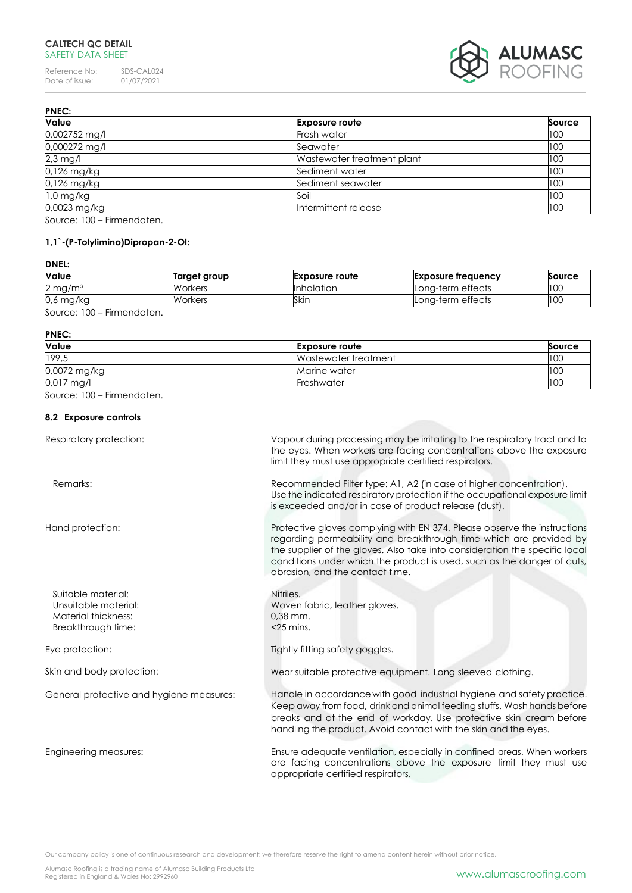## **CALTECH QC DETAIL** SAFETY DATA SHEET

Reference No: SDS-CAL024<br>Date of issue: 01/07/2021 Date of issue:



| <b>PNEC:</b>            |                            |        |
|-------------------------|----------------------------|--------|
| Value                   | <b>Exposure route</b>      | Source |
| 0,002752 mg/l           | Fresh water                | 100    |
| 0,000272 mg/l           | Seawater                   | 100    |
| $2,3$ mg/l              | Wastewater treatment plant | 100    |
| 0,126 mg/kg             | Sediment water             | 100    |
| 0,126 mg/kg             | Sediment seawater          | 100    |
| $1,0$ mg/kg             | Soil                       | 100    |
| 0,0023 mg/kg            | Intermittent release       | 100    |
| $0.100$ $0.100$ $0.100$ |                            |        |

Source: 100 – Firmendaten.

## **1,1`-(P-Tolylimino)Dipropan-2-Ol:**

## **DNEL:**

| <b>Value</b>          | Target group | <b>Exposure route</b> | Exposure frequency | Source |
|-----------------------|--------------|-----------------------|--------------------|--------|
| $2 \,\mathrm{mg/m^3}$ | Workers      | <b>Inhalation</b>     | Long-term effects  | 100    |
| $0.6$ mg/kg           | Workers      | Skin                  | Lona-term effects  | 100    |
| Firmannadortan        |              |                       |                    |        |

Source: 100 – Firmendaten.

#### **PNEC:**

| Value        | <b>Exposure route</b> | Source |
|--------------|-----------------------|--------|
| 199,5        | Wastewater treatment  | 100    |
| 0,0072 mg/kg | Marine water          | 100    |
| 0,017 mg/l   | Freshwater            | 100    |

Source: 100 – Firmendaten.

## **8.2 Exposure controls**

| Respiratory protection:                                                                 | Vapour during processing may be irritating to the respiratory tract and to<br>the eyes. When workers are facing concentrations above the exposure<br>limit they must use appropriate certified respirators.                                                                                                                                 |
|-----------------------------------------------------------------------------------------|---------------------------------------------------------------------------------------------------------------------------------------------------------------------------------------------------------------------------------------------------------------------------------------------------------------------------------------------|
| Remarks:                                                                                | Recommended Filter type: A1, A2 (in case of higher concentration).<br>Use the indicated respiratory protection if the occupational exposure limit<br>is exceeded and/or in case of product release (dust).                                                                                                                                  |
| Hand protection:                                                                        | Protective gloves complying with EN 374. Please observe the instructions<br>regarding permeability and breakthrough time which are provided by<br>the supplier of the gloves. Also take into consideration the specific local<br>conditions under which the product is used, such as the danger of cuts,<br>abrasion, and the contact time. |
| Suitable material:<br>Unsuitable material:<br>Material thickness:<br>Breakthrough time: | Nitriles.<br>Woven fabric, leather gloves.<br>$0.38$ mm.<br>$<$ 25 mins.                                                                                                                                                                                                                                                                    |
| Eye protection:                                                                         | Tightly fitting safety goggles.                                                                                                                                                                                                                                                                                                             |
| Skin and body protection:                                                               | Wear suitable protective equipment. Long sleeved clothing.                                                                                                                                                                                                                                                                                  |
| General protective and hygiene measures:                                                | Handle in accordance with good industrial hygiene and safety practice.<br>Keep away from food, drink and animal feeding stuffs. Wash hands before<br>breaks and at the end of workday. Use protective skin cream before<br>handling the product. Avoid contact with the skin and the eyes.                                                  |
| Engineering measures:                                                                   | Ensure adequate ventilation, especially in confined areas. When workers<br>are facing concentrations above the exposure limit they must use<br>appropriate certified respirators.                                                                                                                                                           |

Our company policy is one of continuous research and development; we therefore reserve the right to amend content herein without prior notice.

Alumasc Roofing is a trading name of Alumasc Building Products Ltd<br>Registered in England & Wales No: 2992960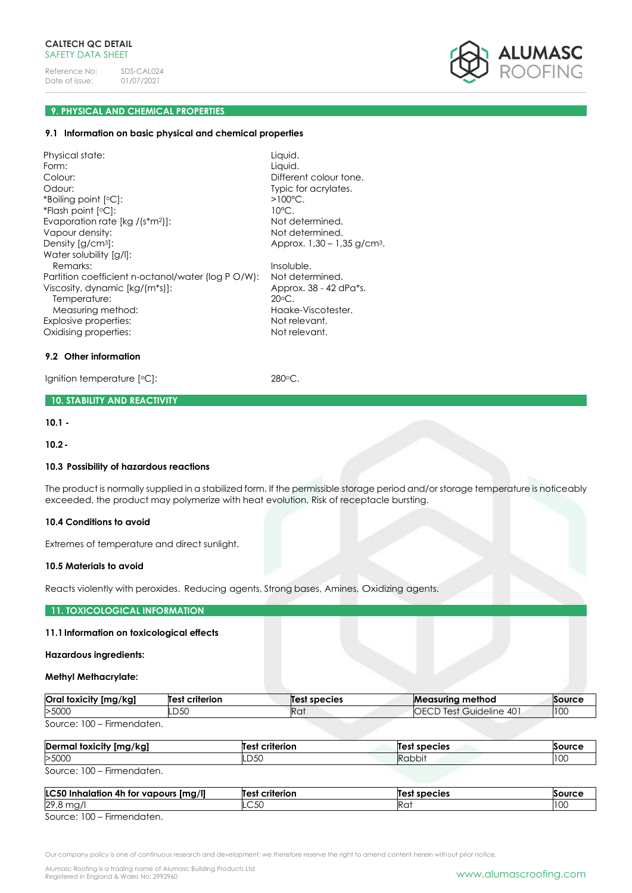

## **9. PHYSICAL AND CHEMICAL PROPERTIES**

#### **9.1 Information on basic physical and chemical properties**

Physical state: Liquid. Form: Liquid.<br>Colour: Liquid. Colour: Liquid. Different colour tone. Odour: Typic for acrylates. \*Boiling point [  $>100^{\circ}$ C. \*Flash point [ 10°C. Evaporation rate [kg /(s\*m<sup>2</sup>)]: Not determined. Vapour density:  $\blacksquare$ Density [g/cm3]: Approx. 1,30 – 1,35 g/cm3. Water solubility [g/l]: Remarks: Insoluble. Partition coefficient n-octanol/water (log P O/W): Not determined. Viscosity, dynamic [kg/(m\*s)]: Approx. 38 - 42 dPa\*s. Temperature: 20<sup>o</sup>C. Measuring method: Measuring method: Explosive properties: Not relevant. Oxidising properties: Not relevant.

#### **9.2 Other information**

Ignition temperature [°C]: 280°C.

### **10. STABILITY AND REACTIVITY**

**10.1 -**

**10.2-**

#### **10.3 Possibility of hazardous reactions**

The product is normally supplied in a stabilized form. If the permissible storage period and/or storage temperature is noticeably exceeded, the product may polymerize with heat evolution. Risk of receptacle bursting.

#### **10.4 Conditions to avoid**

Extremes of temperature and direct sunlight.

#### **10.5 Materials to avoid**

Reacts violently with peroxides. Reducing agents, Strong bases, Amines, Oxidizing agents.

### **11. TOXICOLOGICAL INFORMATION**

#### **11.1Information on toxicological effects**

### **Hazardous ingredients:**

### **Methyl Methacrylate:**

| <b>Oral toxicity</b><br>[mg/kg] | criterion<br>Test | est species?    | <b>Measuring</b><br>⊩method     | Source |
|---------------------------------|-------------------|-----------------|---------------------------------|--------|
| >5000                           | D <sub>50</sub>   | Ra <sup>.</sup> | 40<br>OECD<br>Guideline<br>lest | 100    |
| $\sim$ $\sim$<br>$\sim$         |                   |                 |                                 |        |

Source: 100 – Firmendaten.

| Dermal<br>[mg/kg]<br>, foxicity                                                                                                                                                                                                         | criterion<br>Test | species :<br>lles' | Source |
|-----------------------------------------------------------------------------------------------------------------------------------------------------------------------------------------------------------------------------------------|-------------------|--------------------|--------|
| >5000                                                                                                                                                                                                                                   | LD50              | Rabbit             | 100    |
| 0.100<br>Electric contractors of the second state of the second state of the second state of the second state of the second state of the second state of the second state of the second state of the second state of the second state o |                   |                    |        |

Source: 100 – Firmendaten.

| <b>LC50</b><br>[mg/l]<br>Inhalation 4h for vapours ! | criterion<br><b>Test</b> | Test species | Source |
|------------------------------------------------------|--------------------------|--------------|--------|
| 29,8 mg/                                             | $\cap$ 50<br>ںں۔         | 11 U         | 100    |
| $SQurca' 100 - Eirmandatan$                          |                          |              |        |

Source: 100 – Firmendaten.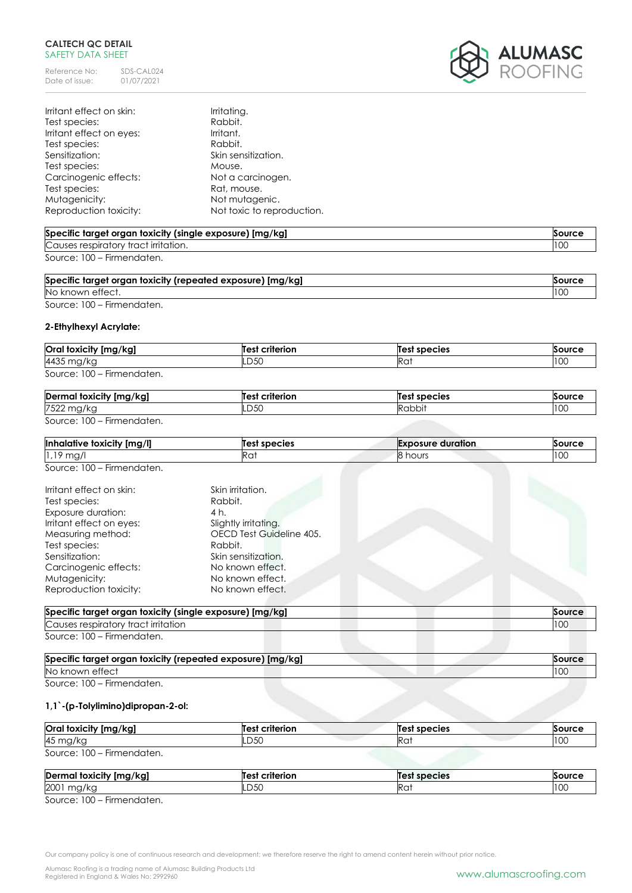## **CALTECH QC DETAIL** SAFETY DATA SHEET

Reference No: SDS-CAL024<br>Date of issue: 01/07/2021 Date of issue:



| Irritant effect on skin: | Irritating.                |
|--------------------------|----------------------------|
| Test species:            | Rabbit.                    |
| Irritant effect on eyes: | Irritant.                  |
| Test species:            | Rabbit.                    |
| Sensitization:           | Skin sensitization.        |
| Test species:            | Mouse.                     |
| Carcinogenic effects:    | Not a carcinogen.          |
| Test species:            | Rat, mouse.                |
| Mutagenicity:            | Not mutagenic.             |
| Reproduction toxicity:   | Not toxic to reproduction. |

## **Specific target organ toxicity (single exposure) [mg/kg] Source** Causes respiratory tract irritation. 100 Source: 100 – Firmendaten.

| Specific target organ toxicity (repeated exposure) [mg/kg] |     |
|------------------------------------------------------------|-----|
| No known effect.                                           | 100 |
|                                                            |     |

Source: 100 – Firmendaten.

## **2-Ethylhexyl Acrylate:**

| Oral toxicity [mg/kg]      | <b>Test criterion</b> | Test species | Source |  |
|----------------------------|-----------------------|--------------|--------|--|
| 4435 mg/kg                 | LD50                  | Ra           | 100    |  |
| Source: 100 – Firmendaten. |                       |              |        |  |

| $\cdot$ .<br>Dermo<br>*v Ima/kal -<br>toxicity<br>'NY. | <b>Test</b><br>criterion | Test species | $\sim$         |
|--------------------------------------------------------|--------------------------|--------------|----------------|
| 7522<br>чы,<br>י רו                                    | LD50                     | dddh'        | $\sim$<br>טט ו |

Source: 100 – Firmendaten.

| <b>Inhalative</b><br>∘ foxicit∨<br>[mg/l] | est species<br>ll est | Exposure<br>duration | Source |
|-------------------------------------------|-----------------------|----------------------|--------|
| $\sim$<br>ີ<br>11197<br>.                 | KO)                   | ∽<br>hours<br>יי     | $\sim$ |

Source: 100 – Firmendaten.

| Irritant effect on skin: | Skin irritation.         |
|--------------------------|--------------------------|
| Test species:            | Rabbit.                  |
| Exposure duration:       | 4 h.                     |
| Irritant effect on eyes: | Slightly irritating.     |
| Measuring method:        | OECD Test Guideline 405. |
| Test species:            | Rabbit.                  |
| Sensitization:           | Skin sensitization.      |
| Carcinogenic effects:    | No known effect.         |
| Mutagenicity:            | No known effect.         |
| Reproduction toxicity:   | No known effect.         |

| Specific target organ toxicity (single exposure) [mg/kg] | Source |
|----------------------------------------------------------|--------|
| Causes respiratory tract irritation                      | 10C    |
| Source: 100 – Firmendaten.                               |        |

| Specific target organ toxicity (repeated exposure) [mg/kg]                                      |  |
|-------------------------------------------------------------------------------------------------|--|
| No known effect                                                                                 |  |
| $\mathcal{L}_{\text{out}}$ $\mathcal{L}_{\text{out}}$ $\mathcal{L}_{\text{out}}$<br>Eirmondaton |  |

Source: 100 – Firmendaten.

# **1,1`-(p-Tolylimino)dipropan-2-ol:**

| Oral toxicity [mg/kg]      | Test criterion | Test species | Source |
|----------------------------|----------------|--------------|--------|
| 45 mg/kg                   | -D5C           | Rat          | 100    |
| Source: 100 – Firmendaten. |                |              |        |

| Dermal<br>l toxicity [mg/kg]                       | criterion<br>$\mathbf{A}$ | $\epsilon$<br>া species | <b>Source</b> |
|----------------------------------------------------|---------------------------|-------------------------|---------------|
| 2001<br>mg/kc                                      | DEO<br>.uju               | кu.                     | 100           |
| $- \cdot$<br>$S_0$ uroo $\cdot$ 100<br>Eirmondaton |                           |                         |               |

Source: 100 – Firmendaten.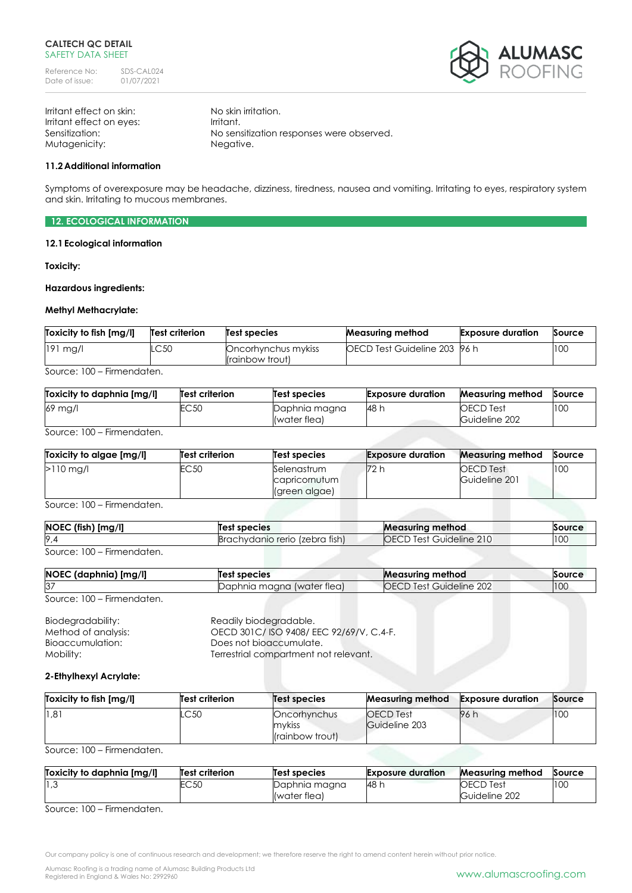

Irritant effect on skin: No skin irritation. Irritant effect on eyes: Irritant. Mutagenicity: Negative.

Sensitization: No sensitization responses were observed.

### **11.2Additional information**

Symptoms of overexposure may be headache, dizziness, tiredness, nausea and vomiting. Irritating to eyes, respiratory system and skin. Irritating to mucous membranes.

**12. ECOLOGICAL INFORMATION**

### **12.1Ecological information**

**Toxicity:**

#### **Hazardous ingredients:**

## **Methyl Methacrylate:**

| Toxicity to fish [mg/l] | Test criterion | <b>Test species</b>                    | <b>Measuring method</b>              | <b>Exposure duration</b> | Source |
|-------------------------|----------------|----------------------------------------|--------------------------------------|--------------------------|--------|
| $191$ mg/l              | LC50           | Oncorhynchus mykiss<br>(rainbow trout) | <b>IOECD Test Guideline 203 96 h</b> |                          | 100    |
| Firman political        |                |                                        |                                      |                          |        |

Source: 100 – Firmendaten.

| Toxicity to daphnia [mg/l] | <b>Test criterion</b> | Test species                  | <b>Exposure duration</b> | <b>Measuring method</b>           | Source |
|----------------------------|-----------------------|-------------------------------|--------------------------|-----------------------------------|--------|
| 69 mg/l                    | C50                   | Daphnia magna<br>(water flea) | <b>48 h</b>              | <b>OECD</b> Test<br>Guideline 202 | 100    |

Source: 100 – Firmendaten.

| Toxicity to algae [mg/l] | Test criterion | Test species                                  | <b>Exposure duration</b> | <b>Measuring method</b>    | Source |
|--------------------------|----------------|-----------------------------------------------|--------------------------|----------------------------|--------|
| $>110$ ma/l              | EC50           | Selenastrum<br>capricornutum<br>(green algae) | 72 h                     | OECD Test<br>Guideline 201 | 100    |

Source: 100 – Firmendaten.

| [mg/l]<br><b>NOEC</b> (fish) | Test species                    | <b>Measuring method</b>     | Source |
|------------------------------|---------------------------------|-----------------------------|--------|
| $\sim$                       | (zebra tish)<br>achvdanio rerio | ำ⊦<br>Guideline 210<br>Test | 100    |

Source: 100 – Firmendaten.

| NOEC (daphnia) [mg/l]               | Test species               | <b>Measuring method</b>        | Source |
|-------------------------------------|----------------------------|--------------------------------|--------|
| $\sim$<br>O.                        | Daphnia magna (water tlea) | <b>OECD Test Guideline 202</b> | 10C    |
| $C_{\text{OUTO}}$ $100$ Eirmondaton |                            |                                |        |

Source: 100 – Firmendaten.

Biodegradability: Readily biodegradable.<br>
Method of analysis: CECD 301C/ISO 9408/E OECD 301C/ ISO 9408/ EEC 92/69/V, C.4-F. Bioaccumulation: Does not bioaccumulate. Mobility: Mobility: Terrestrial compartment not relevant.

### **2-Ethylhexyl Acrylate:**

| Toxicity to fish [mg/l] | Test criterion | Test species                                       | <b>Measuring method</b>                  | <b>Exposure duration</b> | Source |
|-------------------------|----------------|----------------------------------------------------|------------------------------------------|--------------------------|--------|
| 1,81                    | LC50           | Oncorhynchus<br>mykiss<br><i>l</i> (rainbow trout) | <b>OECD</b> Test<br><b>Guideline 203</b> | 96 h                     | 100    |

Source: 100 – Firmendaten.

| Toxicity to daphnia [mg/l] | Test criterion | Test species  | <b>Exposure duration</b> | <b>Measuring method</b> | Source |
|----------------------------|----------------|---------------|--------------------------|-------------------------|--------|
| 3, 1                       | EC5C           | Daphnia magna | 48 h                     | <b>OECD Test</b>        | 100    |
| ---<br>$\sim$<br>--        |                | (water flea)  |                          | Guideline 202           |        |

Source: 100 – Firmendaten.

Our company policy is one of continuous research and development; we therefore reserve the right to amend content herein without prior notice.

Alumasc Roofing is a trading name of Alumasc Building Products Ltd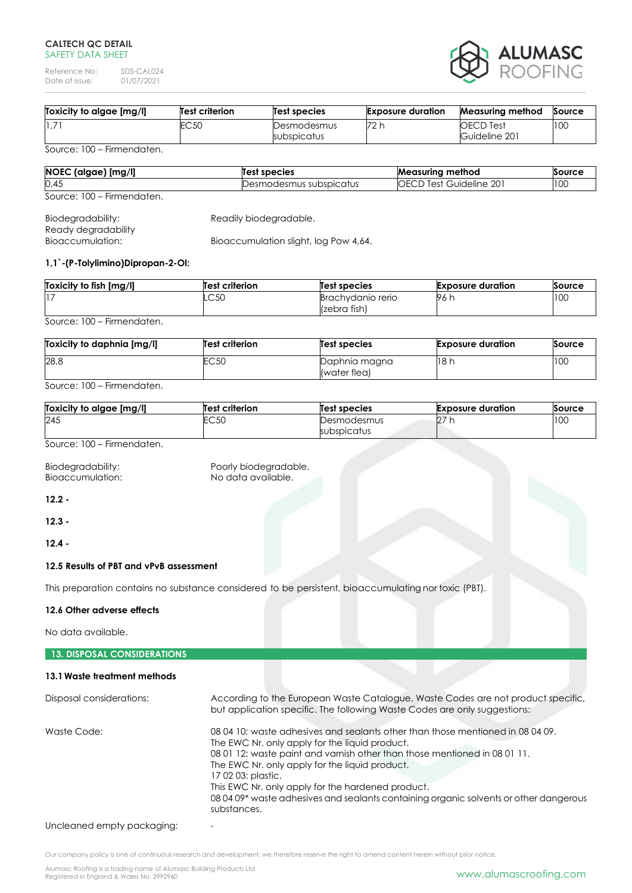### **CALTECH QC DETAIL** SAFFTY DATA SHFFT

Reference No: SDS-CAL024<br>Date of issue: 01/07/2021 Date of issue:



| Toxicity to algae [mg/l] | Test criterion | Test species               | <b>Exposure duration</b> | <b>Measuring method</b>           | Source |
|--------------------------|----------------|----------------------------|--------------------------|-----------------------------------|--------|
| 1,7                      | EC 50          | Desmodesmus<br>subspicatus | 72 h                     | <b>OECD</b> Test<br>Guideline 201 | 100    |

Source: 100 – Firmendaten.

| NOEC (algae) [mg/l]        | Test species            | <b>Measuring method</b>        | Source |
|----------------------------|-------------------------|--------------------------------|--------|
| 0,45                       | Desmodesmus subspicatus | <b>OECD Test Guideline 201</b> | 100    |
| Source: 100 – Firmendaten. |                         |                                |        |

| Biodegradability:   | Readily biodegradable.                |
|---------------------|---------------------------------------|
| Ready degradability |                                       |
| Bioaccumulation:    | Bioaccumulation slight, log Pow 4,64. |

## **1,1`-(P-Tolylimino)Dipropan-2-Ol:**

| Toxicity to fish [mg/l] | <b>Test criterion</b> | Test species                      | <b>Exposure duration</b> | Source |
|-------------------------|-----------------------|-----------------------------------|--------------------------|--------|
|                         | LC50                  | Brachydanio rerio<br>(zebra fish) | 96 h                     | 100    |

Source: 100 – Firmendaten.

| Toxicity to daphnia [mg/l] | Test criterion | Test species                  | <b>Exposure duration</b> | Source |
|----------------------------|----------------|-------------------------------|--------------------------|--------|
| 28,8                       | EC50           | Daphnia magna<br>(water flea) | 18h                      | 100    |

Source: 100 – Firmendaten.

| Toxicity to algae [mg/l] | <b>Test criterion</b> | Test species               | <b>Exposure duration</b> | Source |
|--------------------------|-----------------------|----------------------------|--------------------------|--------|
| 245                      | EC50                  | Desmodesmus<br>subspicatus | $\sim$<br>LZ.            | 100    |
|                          |                       |                            |                          |        |

Source: 100 – Firmendaten.

Bioaccumulation:

Biodegradability: Poorly biodegradable.<br>Bioaccumulation: No data available.

**12.2 -**

**12.3 -**

**12.4 -**

## **12.5 Results of PBT and vPvB assessment**

This preparation contains no substance considered to be persistent, bioaccumulating nor toxic (PBT).

## **12.6 Other adverse effects**

No data available.

# **13. DISPOSAL CONSIDERATIONS**

## **13.1Waste treatment methods**

| Disposal considerations: | According to the European Waste Catalogue, Waste Codes are not product specific,<br>but application specific. The following Waste Codes are only suggestions:                                                                                                                                                                                                                                                                                      |
|--------------------------|----------------------------------------------------------------------------------------------------------------------------------------------------------------------------------------------------------------------------------------------------------------------------------------------------------------------------------------------------------------------------------------------------------------------------------------------------|
| Waste Code:              | 08 04 10: waste adhesives and sealants other than those mentioned in 08 04 09.<br>The EWC Nr. only apply for the liquid product.<br>08 01 12: waste paint and varnish other than those mentioned in 08 01 11.<br>The EWC Nr. only apply for the liquid product.<br>17 02 03: plastic.<br>This EWC Nr. only apply for the hardened product.<br>08 04 09* waste adhesives and sealants containing organic solvents or other dangerous<br>substances. |

Uncleaned empty packaging:

Our company policy is one of continuous research and development; we therefore reserve the right to amend content herein without prior notice.

Alumasc Roofing is a trading name of Alumasc Building Products Ltd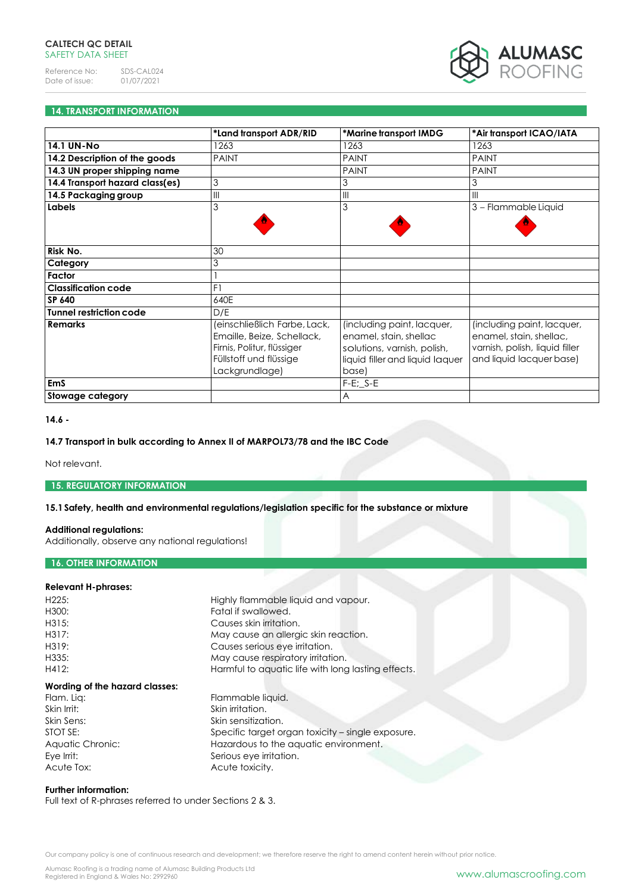

## **14. TRANSPORT INFORMATION**

|                                 | *Land transport ADR/RID                                                                                                              | *Marine transport IMDG                                                                                                          | *Air transport ICAO/IATA                                                                                            |
|---------------------------------|--------------------------------------------------------------------------------------------------------------------------------------|---------------------------------------------------------------------------------------------------------------------------------|---------------------------------------------------------------------------------------------------------------------|
| <b>14.1 UN-No</b>               | 1263                                                                                                                                 | 1263                                                                                                                            | 1263                                                                                                                |
| 14.2 Description of the goods   | <b>PAINT</b>                                                                                                                         | <b>PAINT</b>                                                                                                                    | <b>PAINT</b>                                                                                                        |
| 14.3 UN proper shipping name    |                                                                                                                                      | <b>PAINT</b>                                                                                                                    | <b>PAINT</b>                                                                                                        |
| 14.4 Transport hazard class(es) | 3                                                                                                                                    | 3                                                                                                                               | 3                                                                                                                   |
| 14.5 Packaging group            | III                                                                                                                                  | $\mathbf{III}$                                                                                                                  | $\mathbf{III}$                                                                                                      |
| Labels                          | 3                                                                                                                                    | 3                                                                                                                               | 3 - Flammable Liquid                                                                                                |
|                                 |                                                                                                                                      |                                                                                                                                 |                                                                                                                     |
|                                 |                                                                                                                                      |                                                                                                                                 |                                                                                                                     |
| Risk No.                        | 30                                                                                                                                   |                                                                                                                                 |                                                                                                                     |
| Category                        | 3                                                                                                                                    |                                                                                                                                 |                                                                                                                     |
| Factor                          |                                                                                                                                      |                                                                                                                                 |                                                                                                                     |
| <b>Classification code</b>      | F1                                                                                                                                   |                                                                                                                                 |                                                                                                                     |
| <b>SP 640</b>                   | 640E                                                                                                                                 |                                                                                                                                 |                                                                                                                     |
| <b>Tunnel restriction code</b>  | D/E                                                                                                                                  |                                                                                                                                 |                                                                                                                     |
| <b>Remarks</b>                  | (einschließlich Farbe, Lack,<br>Emaille, Beize, Schellack,<br>Firnis, Politur, flüssiger<br>Füllstoff und flüssige<br>Lackgrundlage) | (including paint, lacquer,<br>enamel, stain, shellac<br>solutions, varnish, polish,<br>liquid filler and liquid laquer<br>base) | (including paint, lacquer,<br>enamel, stain, shellac,<br>varnish, polish, liquid filler<br>and liquid lacquer base) |
| <b>EmS</b>                      |                                                                                                                                      | $F-E$ ; $S-E$                                                                                                                   |                                                                                                                     |
| Stowage category                |                                                                                                                                      | $\overline{A}$                                                                                                                  |                                                                                                                     |

#### **14.6 -**

## **14.7 Transport in bulk according to Annex II of MARPOL73/78 and the IBC Code**

Not relevant.

## **15. REGULATORY INFORMATION**

## **15.1Safety, health and environmental regulations/legislation specific for the substance or mixture**

### **Additional regulations:**

Additionally, observe any national regulations!

# **16. OTHER INFORMATION**

### **Relevant H-phrases:**

| H225:                          | Highly flammable liquid and vapour.                |
|--------------------------------|----------------------------------------------------|
| H300:                          | Fatal if swallowed.                                |
| H315:                          | Causes skin irritation.                            |
| H317:                          | May cause an allergic skin reaction.               |
| H319:                          | Causes serious eye irritation.                     |
| H335:                          | May cause respiratory irritation.                  |
| H412:                          | Harmful to aquatic life with long lasting effects. |
| Wording of the hazard classes: |                                                    |
| Flam. Lig:                     | Flammable liquid.                                  |
| Skin Irrit:                    | Skin irritation.                                   |
| Skin Sens:                     | Skin sensitization.                                |
| STOT SE:                       | Specific target organ toxicity – single exposure.  |
| Aquatic Chronic:               | Hazardous to the aquatic environment.              |
| Eye Irrit:                     | Serious eye irritation.                            |
| Acute Tox:                     | Acute toxicity.                                    |

#### **Further information:**

Full text of R-phrases referred to under Sections 2 & 3.